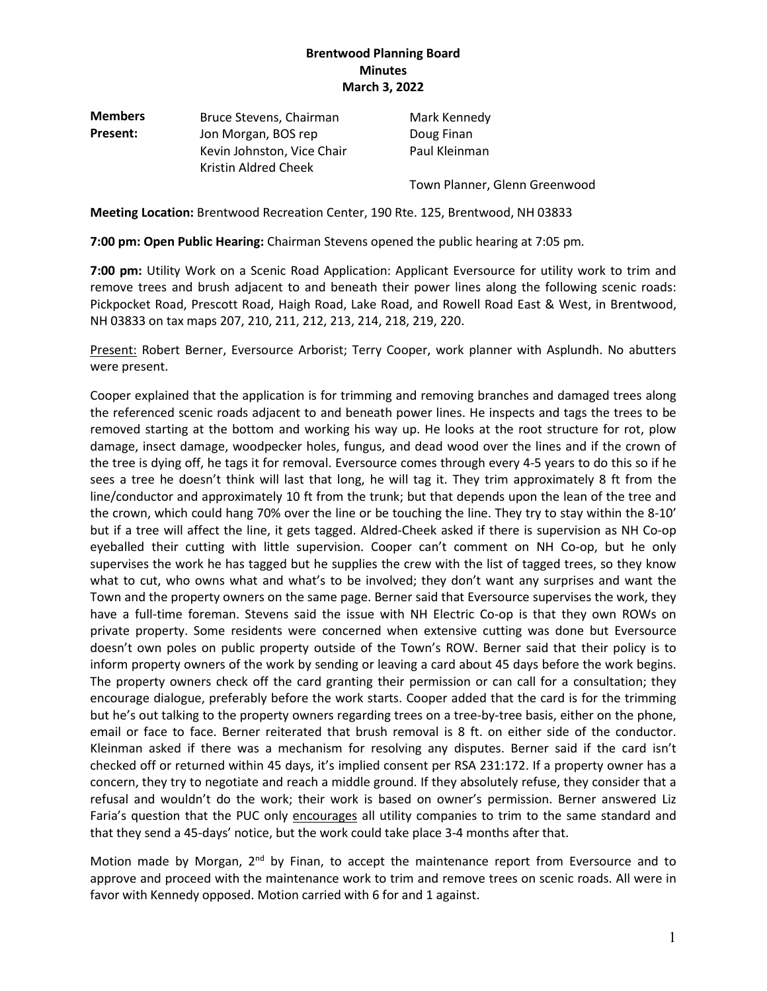| <b>Members</b> | Bruce Stevens, Chairman    | Mark Kennedy                  |
|----------------|----------------------------|-------------------------------|
| Present:       | Jon Morgan, BOS rep        | Doug Finan                    |
|                | Kevin Johnston, Vice Chair | Paul Kleinman                 |
|                | Kristin Aldred Cheek       |                               |
|                |                            | Town Planner, Glenn Greenwood |

**Meeting Location:** Brentwood Recreation Center, 190 Rte. 125, Brentwood, NH 03833

**7:00 pm: Open Public Hearing:** Chairman Stevens opened the public hearing at 7:05 pm*.*

**7:00 pm:** Utility Work on a Scenic Road Application: Applicant Eversource for utility work to trim and remove trees and brush adjacent to and beneath their power lines along the following scenic roads: Pickpocket Road, Prescott Road, Haigh Road, Lake Road, and Rowell Road East & West, in Brentwood, NH 03833 on tax maps 207, 210, 211, 212, 213, 214, 218, 219, 220.

Present: Robert Berner, Eversource Arborist; Terry Cooper, work planner with Asplundh. No abutters were present.

Cooper explained that the application is for trimming and removing branches and damaged trees along the referenced scenic roads adjacent to and beneath power lines. He inspects and tags the trees to be removed starting at the bottom and working his way up. He looks at the root structure for rot, plow damage, insect damage, woodpecker holes, fungus, and dead wood over the lines and if the crown of the tree is dying off, he tags it for removal. Eversource comes through every 4-5 years to do this so if he sees a tree he doesn't think will last that long, he will tag it. They trim approximately 8 ft from the line/conductor and approximately 10 ft from the trunk; but that depends upon the lean of the tree and the crown, which could hang 70% over the line or be touching the line. They try to stay within the 8-10' but if a tree will affect the line, it gets tagged. Aldred-Cheek asked if there is supervision as NH Co-op eyeballed their cutting with little supervision. Cooper can't comment on NH Co-op, but he only supervises the work he has tagged but he supplies the crew with the list of tagged trees, so they know what to cut, who owns what and what's to be involved; they don't want any surprises and want the Town and the property owners on the same page. Berner said that Eversource supervises the work, they have a full-time foreman. Stevens said the issue with NH Electric Co-op is that they own ROWs on private property. Some residents were concerned when extensive cutting was done but Eversource doesn't own poles on public property outside of the Town's ROW. Berner said that their policy is to inform property owners of the work by sending or leaving a card about 45 days before the work begins. The property owners check off the card granting their permission or can call for a consultation; they encourage dialogue, preferably before the work starts. Cooper added that the card is for the trimming but he's out talking to the property owners regarding trees on a tree-by-tree basis, either on the phone, email or face to face. Berner reiterated that brush removal is 8 ft. on either side of the conductor. Kleinman asked if there was a mechanism for resolving any disputes. Berner said if the card isn't checked off or returned within 45 days, it's implied consent per RSA 231:172. If a property owner has a concern, they try to negotiate and reach a middle ground. If they absolutely refuse, they consider that a refusal and wouldn't do the work; their work is based on owner's permission. Berner answered Liz Faria's question that the PUC only encourages all utility companies to trim to the same standard and that they send a 45-days' notice, but the work could take place 3-4 months after that.

Motion made by Morgan,  $2<sup>nd</sup>$  by Finan, to accept the maintenance report from Eversource and to approve and proceed with the maintenance work to trim and remove trees on scenic roads. All were in favor with Kennedy opposed. Motion carried with 6 for and 1 against.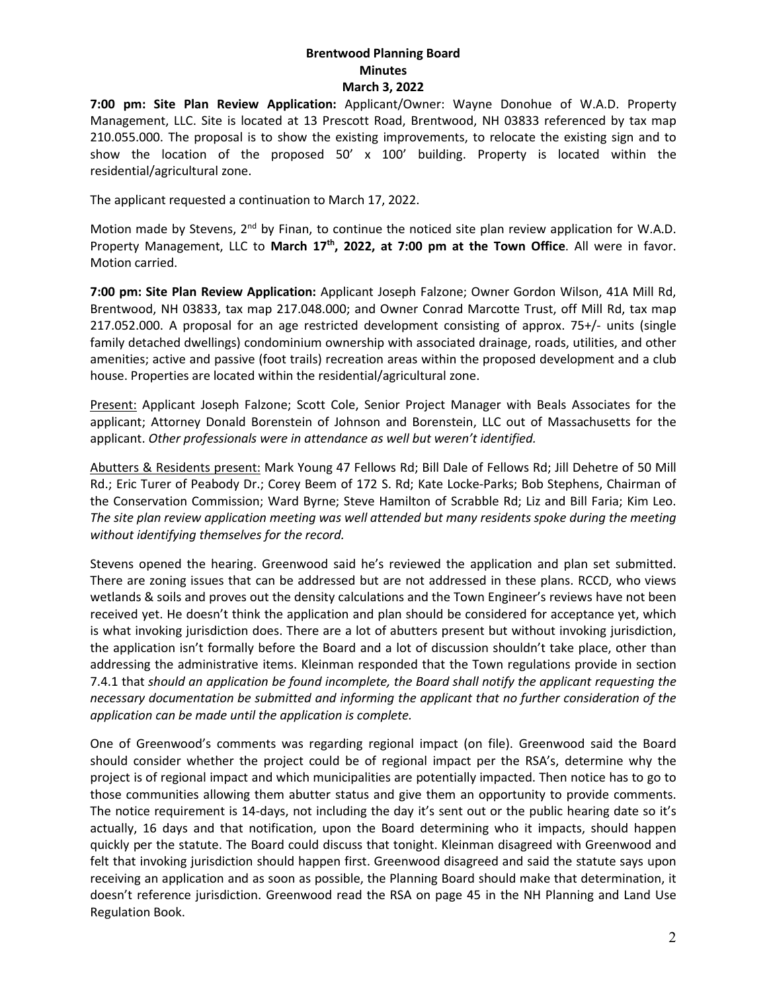**7:00 pm: Site Plan Review Application:** Applicant/Owner: Wayne Donohue of W.A.D. Property Management, LLC. Site is located at 13 Prescott Road, Brentwood, NH 03833 referenced by tax map 210.055.000. The proposal is to show the existing improvements, to relocate the existing sign and to show the location of the proposed 50' x 100' building. Property is located within the residential/agricultural zone.

The applicant requested a continuation to March 17, 2022.

Motion made by Stevens,  $2<sup>nd</sup>$  by Finan, to continue the noticed site plan review application for W.A.D. Property Management, LLC to March 17<sup>th</sup>, 2022, at 7:00 pm at the Town Office. All were in favor. Motion carried.

**7:00 pm: Site Plan Review Application:** Applicant Joseph Falzone; Owner Gordon Wilson, 41A Mill Rd, Brentwood, NH 03833, tax map 217.048.000; and Owner Conrad Marcotte Trust, off Mill Rd, tax map 217.052.000. A proposal for an age restricted development consisting of approx. 75+/- units (single family detached dwellings) condominium ownership with associated drainage, roads, utilities, and other amenities; active and passive (foot trails) recreation areas within the proposed development and a club house. Properties are located within the residential/agricultural zone.

Present: Applicant Joseph Falzone; Scott Cole, Senior Project Manager with Beals Associates for the applicant; Attorney Donald Borenstein of Johnson and Borenstein, LLC out of Massachusetts for the applicant. *Other professionals were in attendance as well but weren't identified.*

Abutters & Residents present: Mark Young 47 Fellows Rd; Bill Dale of Fellows Rd; Jill Dehetre of 50 Mill Rd.; Eric Turer of Peabody Dr.; Corey Beem of 172 S. Rd; Kate Locke-Parks; Bob Stephens, Chairman of the Conservation Commission; Ward Byrne; Steve Hamilton of Scrabble Rd; Liz and Bill Faria; Kim Leo. *The site plan review application meeting was well attended but many residents spoke during the meeting without identifying themselves for the record.* 

Stevens opened the hearing. Greenwood said he's reviewed the application and plan set submitted. There are zoning issues that can be addressed but are not addressed in these plans. RCCD, who views wetlands & soils and proves out the density calculations and the Town Engineer's reviews have not been received yet. He doesn't think the application and plan should be considered for acceptance yet, which is what invoking jurisdiction does. There are a lot of abutters present but without invoking jurisdiction, the application isn't formally before the Board and a lot of discussion shouldn't take place, other than addressing the administrative items. Kleinman responded that the Town regulations provide in section 7.4.1 that *should an application be found incomplete, the Board shall notify the applicant requesting the necessary documentation be submitted and informing the applicant that no further consideration of the application can be made until the application is complete.* 

One of Greenwood's comments was regarding regional impact (on file). Greenwood said the Board should consider whether the project could be of regional impact per the RSA's, determine why the project is of regional impact and which municipalities are potentially impacted. Then notice has to go to those communities allowing them abutter status and give them an opportunity to provide comments. The notice requirement is 14-days, not including the day it's sent out or the public hearing date so it's actually, 16 days and that notification, upon the Board determining who it impacts, should happen quickly per the statute. The Board could discuss that tonight. Kleinman disagreed with Greenwood and felt that invoking jurisdiction should happen first. Greenwood disagreed and said the statute says upon receiving an application and as soon as possible, the Planning Board should make that determination, it doesn't reference jurisdiction. Greenwood read the RSA on page 45 in the NH Planning and Land Use Regulation Book.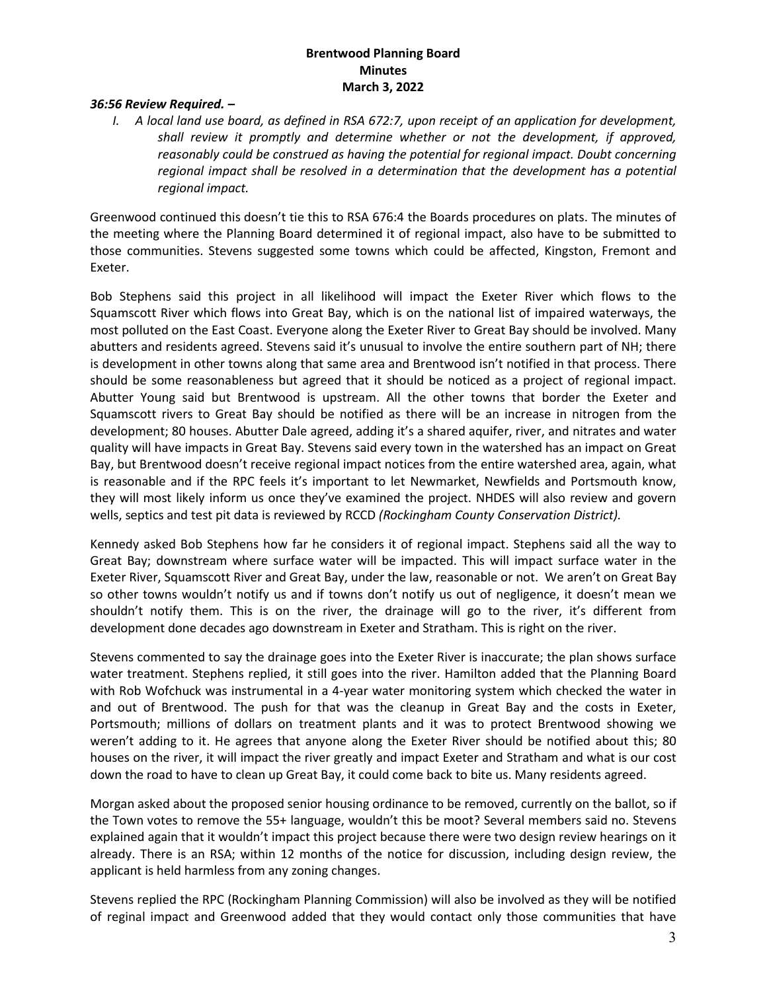#### *36:56 Review Required. –*

*I. A local land use board, as defined in RSA 672:7, upon receipt of an application for development, shall review it promptly and determine whether or not the development, if approved, reasonably could be construed as having the potential for regional impact. Doubt concerning regional impact shall be resolved in a determination that the development has a potential regional impact.*

Greenwood continued this doesn't tie this to RSA 676:4 the Boards procedures on plats. The minutes of the meeting where the Planning Board determined it of regional impact, also have to be submitted to those communities. Stevens suggested some towns which could be affected, Kingston, Fremont and Exeter.

Bob Stephens said this project in all likelihood will impact the Exeter River which flows to the Squamscott River which flows into Great Bay, which is on the national list of impaired waterways, the most polluted on the East Coast. Everyone along the Exeter River to Great Bay should be involved. Many abutters and residents agreed. Stevens said it's unusual to involve the entire southern part of NH; there is development in other towns along that same area and Brentwood isn't notified in that process. There should be some reasonableness but agreed that it should be noticed as a project of regional impact. Abutter Young said but Brentwood is upstream. All the other towns that border the Exeter and Squamscott rivers to Great Bay should be notified as there will be an increase in nitrogen from the development; 80 houses. Abutter Dale agreed, adding it's a shared aquifer, river, and nitrates and water quality will have impacts in Great Bay. Stevens said every town in the watershed has an impact on Great Bay, but Brentwood doesn't receive regional impact notices from the entire watershed area, again, what is reasonable and if the RPC feels it's important to let Newmarket, Newfields and Portsmouth know, they will most likely inform us once they've examined the project. NHDES will also review and govern wells, septics and test pit data is reviewed by RCCD *(Rockingham County Conservation District).*

Kennedy asked Bob Stephens how far he considers it of regional impact. Stephens said all the way to Great Bay; downstream where surface water will be impacted. This will impact surface water in the Exeter River, Squamscott River and Great Bay, under the law, reasonable or not. We aren't on Great Bay so other towns wouldn't notify us and if towns don't notify us out of negligence, it doesn't mean we shouldn't notify them. This is on the river, the drainage will go to the river, it's different from development done decades ago downstream in Exeter and Stratham. This is right on the river.

Stevens commented to say the drainage goes into the Exeter River is inaccurate; the plan shows surface water treatment. Stephens replied, it still goes into the river. Hamilton added that the Planning Board with Rob Wofchuck was instrumental in a 4-year water monitoring system which checked the water in and out of Brentwood. The push for that was the cleanup in Great Bay and the costs in Exeter, Portsmouth; millions of dollars on treatment plants and it was to protect Brentwood showing we weren't adding to it. He agrees that anyone along the Exeter River should be notified about this; 80 houses on the river, it will impact the river greatly and impact Exeter and Stratham and what is our cost down the road to have to clean up Great Bay, it could come back to bite us. Many residents agreed.

Morgan asked about the proposed senior housing ordinance to be removed, currently on the ballot, so if the Town votes to remove the 55+ language, wouldn't this be moot? Several members said no. Stevens explained again that it wouldn't impact this project because there were two design review hearings on it already. There is an RSA; within 12 months of the notice for discussion, including design review, the applicant is held harmless from any zoning changes.

Stevens replied the RPC (Rockingham Planning Commission) will also be involved as they will be notified of reginal impact and Greenwood added that they would contact only those communities that have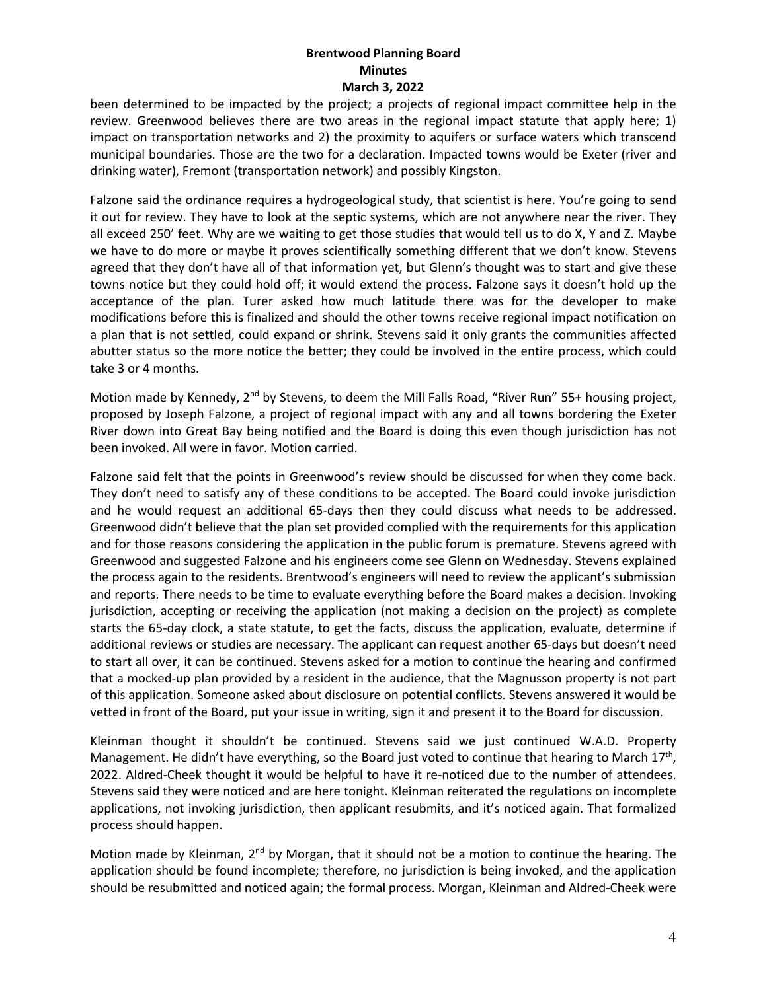been determined to be impacted by the project; a projects of regional impact committee help in the review. Greenwood believes there are two areas in the regional impact statute that apply here; 1) impact on transportation networks and 2) the proximity to aquifers or surface waters which transcend municipal boundaries. Those are the two for a declaration. Impacted towns would be Exeter (river and drinking water), Fremont (transportation network) and possibly Kingston.

Falzone said the ordinance requires a hydrogeological study, that scientist is here. You're going to send it out for review. They have to look at the septic systems, which are not anywhere near the river. They all exceed 250' feet. Why are we waiting to get those studies that would tell us to do X, Y and Z. Maybe we have to do more or maybe it proves scientifically something different that we don't know. Stevens agreed that they don't have all of that information yet, but Glenn's thought was to start and give these towns notice but they could hold off; it would extend the process. Falzone says it doesn't hold up the acceptance of the plan. Turer asked how much latitude there was for the developer to make modifications before this is finalized and should the other towns receive regional impact notification on a plan that is not settled, could expand or shrink. Stevens said it only grants the communities affected abutter status so the more notice the better; they could be involved in the entire process, which could take 3 or 4 months.

Motion made by Kennedy,  $2^{nd}$  by Stevens, to deem the Mill Falls Road, "River Run" 55+ housing project, proposed by Joseph Falzone, a project of regional impact with any and all towns bordering the Exeter River down into Great Bay being notified and the Board is doing this even though jurisdiction has not been invoked. All were in favor. Motion carried.

Falzone said felt that the points in Greenwood's review should be discussed for when they come back. They don't need to satisfy any of these conditions to be accepted. The Board could invoke jurisdiction and he would request an additional 65-days then they could discuss what needs to be addressed. Greenwood didn't believe that the plan set provided complied with the requirements for this application and for those reasons considering the application in the public forum is premature. Stevens agreed with Greenwood and suggested Falzone and his engineers come see Glenn on Wednesday. Stevens explained the process again to the residents. Brentwood's engineers will need to review the applicant's submission and reports. There needs to be time to evaluate everything before the Board makes a decision. Invoking jurisdiction, accepting or receiving the application (not making a decision on the project) as complete starts the 65-day clock, a state statute, to get the facts, discuss the application, evaluate, determine if additional reviews or studies are necessary. The applicant can request another 65-days but doesn't need to start all over, it can be continued. Stevens asked for a motion to continue the hearing and confirmed that a mocked-up plan provided by a resident in the audience, that the Magnusson property is not part of this application. Someone asked about disclosure on potential conflicts. Stevens answered it would be vetted in front of the Board, put your issue in writing, sign it and present it to the Board for discussion.

Kleinman thought it shouldn't be continued. Stevens said we just continued W.A.D. Property Management. He didn't have everything, so the Board just voted to continue that hearing to March 17<sup>th</sup>, 2022. Aldred-Cheek thought it would be helpful to have it re-noticed due to the number of attendees. Stevens said they were noticed and are here tonight. Kleinman reiterated the regulations on incomplete applications, not invoking jurisdiction, then applicant resubmits, and it's noticed again. That formalized process should happen.

Motion made by Kleinman, 2<sup>nd</sup> by Morgan, that it should not be a motion to continue the hearing. The application should be found incomplete; therefore, no jurisdiction is being invoked, and the application should be resubmitted and noticed again; the formal process. Morgan, Kleinman and Aldred-Cheek were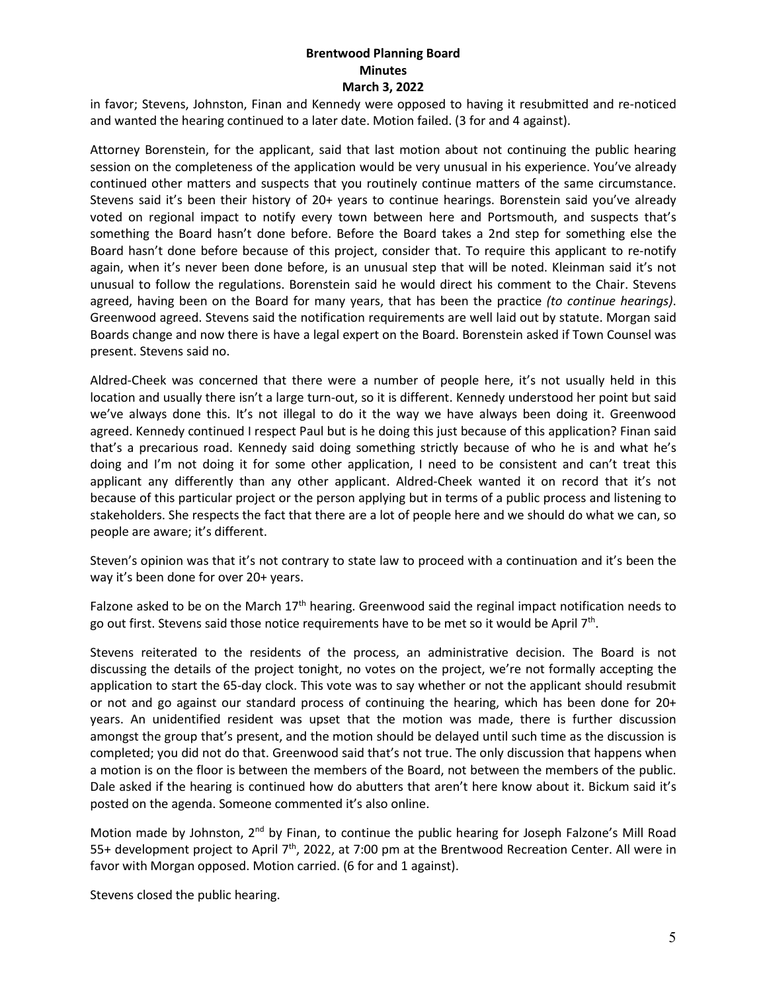in favor; Stevens, Johnston, Finan and Kennedy were opposed to having it resubmitted and re-noticed and wanted the hearing continued to a later date. Motion failed. (3 for and 4 against).

Attorney Borenstein, for the applicant, said that last motion about not continuing the public hearing session on the completeness of the application would be very unusual in his experience. You've already continued other matters and suspects that you routinely continue matters of the same circumstance. Stevens said it's been their history of 20+ years to continue hearings. Borenstein said you've already voted on regional impact to notify every town between here and Portsmouth, and suspects that's something the Board hasn't done before. Before the Board takes a 2nd step for something else the Board hasn't done before because of this project, consider that. To require this applicant to re-notify again, when it's never been done before, is an unusual step that will be noted. Kleinman said it's not unusual to follow the regulations. Borenstein said he would direct his comment to the Chair. Stevens agreed, having been on the Board for many years, that has been the practice *(to continue hearings)*. Greenwood agreed. Stevens said the notification requirements are well laid out by statute. Morgan said Boards change and now there is have a legal expert on the Board. Borenstein asked if Town Counsel was present. Stevens said no.

Aldred-Cheek was concerned that there were a number of people here, it's not usually held in this location and usually there isn't a large turn-out, so it is different. Kennedy understood her point but said we've always done this. It's not illegal to do it the way we have always been doing it. Greenwood agreed. Kennedy continued I respect Paul but is he doing this just because of this application? Finan said that's a precarious road. Kennedy said doing something strictly because of who he is and what he's doing and I'm not doing it for some other application, I need to be consistent and can't treat this applicant any differently than any other applicant. Aldred-Cheek wanted it on record that it's not because of this particular project or the person applying but in terms of a public process and listening to stakeholders. She respects the fact that there are a lot of people here and we should do what we can, so people are aware; it's different.

Steven's opinion was that it's not contrary to state law to proceed with a continuation and it's been the way it's been done for over 20+ years.

Falzone asked to be on the March 17<sup>th</sup> hearing. Greenwood said the reginal impact notification needs to go out first. Stevens said those notice requirements have to be met so it would be April  $7<sup>th</sup>$ .

Stevens reiterated to the residents of the process, an administrative decision. The Board is not discussing the details of the project tonight, no votes on the project, we're not formally accepting the application to start the 65-day clock. This vote was to say whether or not the applicant should resubmit or not and go against our standard process of continuing the hearing, which has been done for 20+ years. An unidentified resident was upset that the motion was made, there is further discussion amongst the group that's present, and the motion should be delayed until such time as the discussion is completed; you did not do that. Greenwood said that's not true. The only discussion that happens when a motion is on the floor is between the members of the Board, not between the members of the public. Dale asked if the hearing is continued how do abutters that aren't here know about it. Bickum said it's posted on the agenda. Someone commented it's also online.

Motion made by Johnston, 2<sup>nd</sup> by Finan, to continue the public hearing for Joseph Falzone's Mill Road 55+ development project to April 7th, 2022, at 7:00 pm at the Brentwood Recreation Center. All were in favor with Morgan opposed. Motion carried. (6 for and 1 against).

Stevens closed the public hearing.